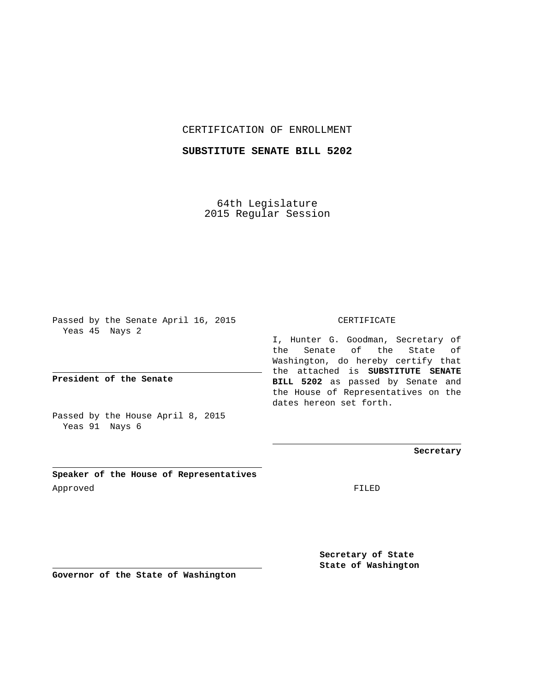### CERTIFICATION OF ENROLLMENT

## **SUBSTITUTE SENATE BILL 5202**

64th Legislature 2015 Regular Session

Passed by the Senate April 16, 2015 Yeas 45 Nays 2

**President of the Senate**

Passed by the House April 8, 2015 Yeas 91 Nays 6

**Speaker of the House of Representatives** Approved FILED

#### CERTIFICATE

I, Hunter G. Goodman, Secretary of the Senate of the State of Washington, do hereby certify that the attached is **SUBSTITUTE SENATE BILL 5202** as passed by Senate and the House of Representatives on the dates hereon set forth.

**Secretary**

**Secretary of State State of Washington**

**Governor of the State of Washington**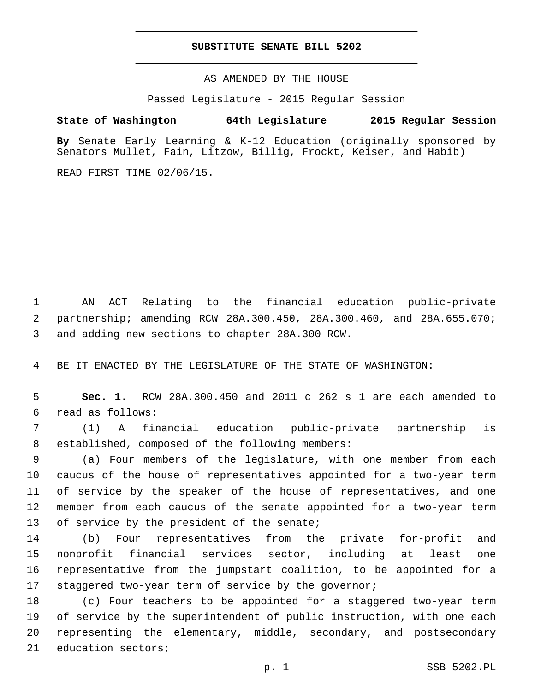### **SUBSTITUTE SENATE BILL 5202**

AS AMENDED BY THE HOUSE

Passed Legislature - 2015 Regular Session

# **State of Washington 64th Legislature 2015 Regular Session**

**By** Senate Early Learning & K-12 Education (originally sponsored by Senators Mullet, Fain, Litzow, Billig, Frockt, Keiser, and Habib)

READ FIRST TIME 02/06/15.

1 AN ACT Relating to the financial education public-private 2 partnership; amending RCW 28A.300.450, 28A.300.460, and 28A.655.070; 3 and adding new sections to chapter 28A.300 RCW.

4 BE IT ENACTED BY THE LEGISLATURE OF THE STATE OF WASHINGTON:

5 **Sec. 1.** RCW 28A.300.450 and 2011 c 262 s 1 are each amended to read as follows:6

7 (1) A financial education public-private partnership is 8 established, composed of the following members:

 (a) Four members of the legislature, with one member from each caucus of the house of representatives appointed for a two-year term of service by the speaker of the house of representatives, and one member from each caucus of the senate appointed for a two-year term 13 of service by the president of the senate;

 (b) Four representatives from the private for-profit and nonprofit financial services sector, including at least one representative from the jumpstart coalition, to be appointed for a staggered two-year term of service by the governor;

 (c) Four teachers to be appointed for a staggered two-year term of service by the superintendent of public instruction, with one each representing the elementary, middle, secondary, and postsecondary 21 education sectors;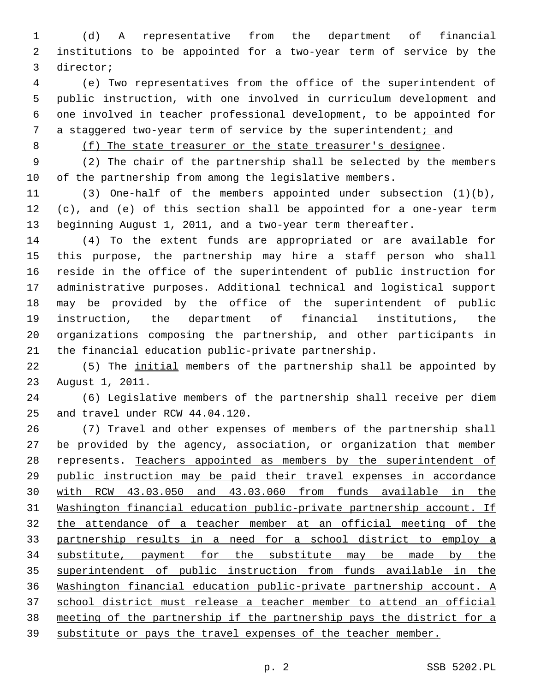(d) A representative from the department of financial institutions to be appointed for a two-year term of service by the 3 director;

 (e) Two representatives from the office of the superintendent of public instruction, with one involved in curriculum development and one involved in teacher professional development, to be appointed for a staggered two-year term of service by the superintendent; and

8 (f) The state treasurer or the state treasurer's designee.

 (2) The chair of the partnership shall be selected by the members of the partnership from among the legislative members.

 (3) One-half of the members appointed under subsection (1)(b), (c), and (e) of this section shall be appointed for a one-year term beginning August 1, 2011, and a two-year term thereafter.

 (4) To the extent funds are appropriated or are available for this purpose, the partnership may hire a staff person who shall reside in the office of the superintendent of public instruction for administrative purposes. Additional technical and logistical support may be provided by the office of the superintendent of public instruction, the department of financial institutions, the organizations composing the partnership, and other participants in the financial education public-private partnership.

 (5) The initial members of the partnership shall be appointed by 23 August 1, 2011.

 (6) Legislative members of the partnership shall receive per diem 25 and travel under RCW 44.04.120.

 (7) Travel and other expenses of members of the partnership shall be provided by the agency, association, or organization that member represents. Teachers appointed as members by the superintendent of public instruction may be paid their travel expenses in accordance with RCW 43.03.050 and 43.03.060 from funds available in the Washington financial education public-private partnership account. If the attendance of a teacher member at an official meeting of the partnership results in a need for a school district to employ a substitute, payment for the substitute may be made by the superintendent of public instruction from funds available in the Washington financial education public-private partnership account. A school district must release a teacher member to attend an official meeting of the partnership if the partnership pays the district for a substitute or pays the travel expenses of the teacher member.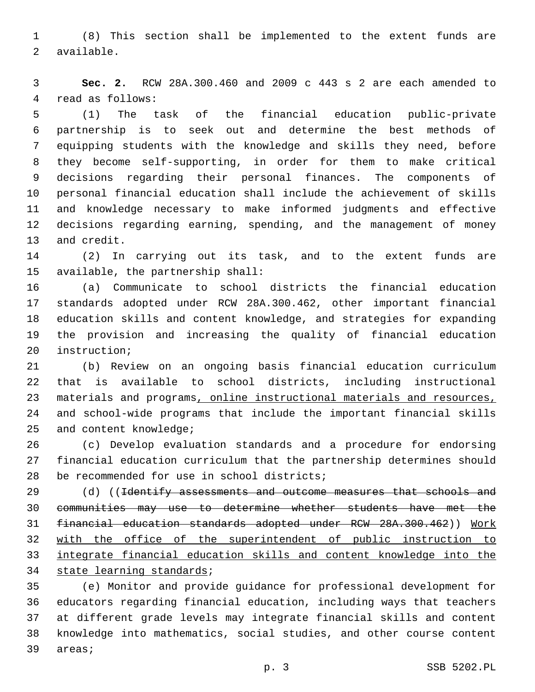(8) This section shall be implemented to the extent funds are 2 available.

 **Sec. 2.** RCW 28A.300.460 and 2009 c 443 s 2 are each amended to 4 read as follows:

 (1) The task of the financial education public-private partnership is to seek out and determine the best methods of equipping students with the knowledge and skills they need, before they become self-supporting, in order for them to make critical decisions regarding their personal finances. The components of personal financial education shall include the achievement of skills and knowledge necessary to make informed judgments and effective decisions regarding earning, spending, and the management of money 13 and credit.

 (2) In carrying out its task, and to the extent funds are 15 available, the partnership shall:

 (a) Communicate to school districts the financial education standards adopted under RCW 28A.300.462, other important financial education skills and content knowledge, and strategies for expanding the provision and increasing the quality of financial education 20 instruction;

 (b) Review on an ongoing basis financial education curriculum that is available to school districts, including instructional materials and programs, online instructional materials and resources, and school-wide programs that include the important financial skills 25 and content knowledge;

 (c) Develop evaluation standards and a procedure for endorsing financial education curriculum that the partnership determines should 28 be recommended for use in school districts;

29 (d) ((Identify assessments and outcome measures that schools and communities may use to determine whether students have met the financial education standards adopted under RCW 28A.300.462)) Work with the office of the superintendent of public instruction to integrate financial education skills and content knowledge into the 34 state learning standards;

 (e) Monitor and provide guidance for professional development for educators regarding financial education, including ways that teachers at different grade levels may integrate financial skills and content knowledge into mathematics, social studies, and other course content 39 areas;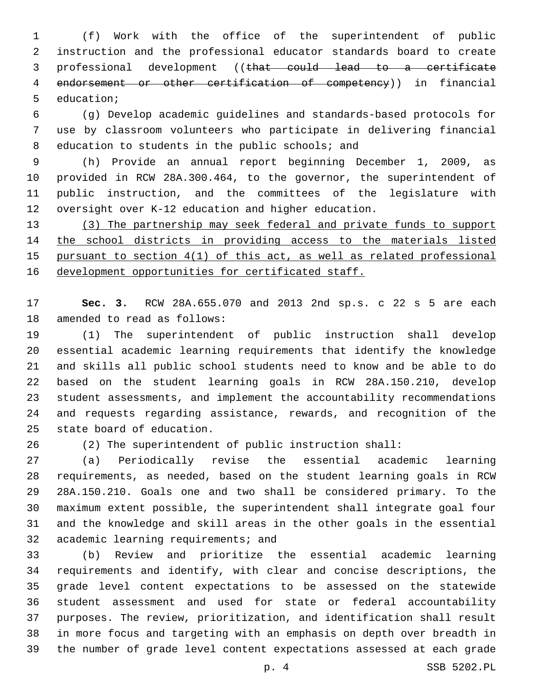(f) Work with the office of the superintendent of public instruction and the professional educator standards board to create professional development ((that could lead to a certificate endorsement or other certification of competency)) in financial 5 education;

 (g) Develop academic guidelines and standards-based protocols for use by classroom volunteers who participate in delivering financial 8 education to students in the public schools; and

 (h) Provide an annual report beginning December 1, 2009, as provided in RCW 28A.300.464, to the governor, the superintendent of public instruction, and the committees of the legislature with oversight over K-12 education and higher education.

 (3) The partnership may seek federal and private funds to support the school districts in providing access to the materials listed pursuant to section 4(1) of this act, as well as related professional 16 development opportunities for certificated staff.

 **Sec. 3.** RCW 28A.655.070 and 2013 2nd sp.s. c 22 s 5 are each 18 amended to read as follows:

 (1) The superintendent of public instruction shall develop essential academic learning requirements that identify the knowledge and skills all public school students need to know and be able to do based on the student learning goals in RCW 28A.150.210, develop student assessments, and implement the accountability recommendations and requests regarding assistance, rewards, and recognition of the 25 state board of education.

(2) The superintendent of public instruction shall:

 (a) Periodically revise the essential academic learning requirements, as needed, based on the student learning goals in RCW 28A.150.210. Goals one and two shall be considered primary. To the maximum extent possible, the superintendent shall integrate goal four and the knowledge and skill areas in the other goals in the essential 32 academic learning requirements; and

 (b) Review and prioritize the essential academic learning requirements and identify, with clear and concise descriptions, the grade level content expectations to be assessed on the statewide student assessment and used for state or federal accountability purposes. The review, prioritization, and identification shall result in more focus and targeting with an emphasis on depth over breadth in the number of grade level content expectations assessed at each grade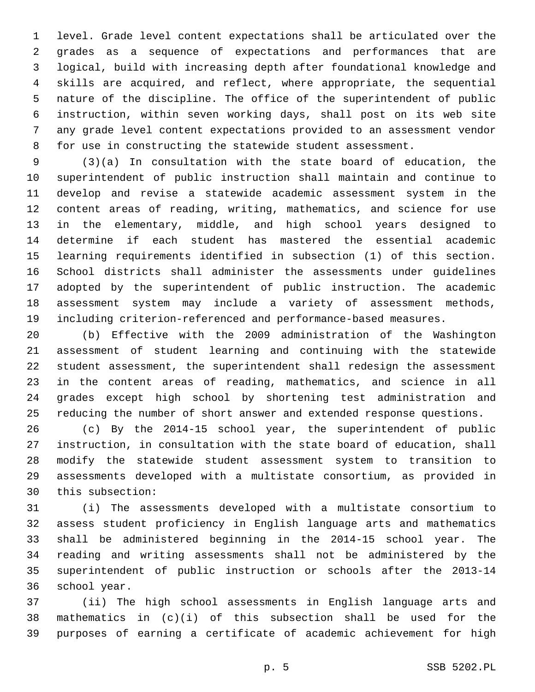level. Grade level content expectations shall be articulated over the grades as a sequence of expectations and performances that are logical, build with increasing depth after foundational knowledge and skills are acquired, and reflect, where appropriate, the sequential nature of the discipline. The office of the superintendent of public instruction, within seven working days, shall post on its web site any grade level content expectations provided to an assessment vendor for use in constructing the statewide student assessment.

 (3)(a) In consultation with the state board of education, the superintendent of public instruction shall maintain and continue to develop and revise a statewide academic assessment system in the content areas of reading, writing, mathematics, and science for use in the elementary, middle, and high school years designed to determine if each student has mastered the essential academic learning requirements identified in subsection (1) of this section. School districts shall administer the assessments under guidelines adopted by the superintendent of public instruction. The academic assessment system may include a variety of assessment methods, including criterion-referenced and performance-based measures.

 (b) Effective with the 2009 administration of the Washington assessment of student learning and continuing with the statewide student assessment, the superintendent shall redesign the assessment in the content areas of reading, mathematics, and science in all grades except high school by shortening test administration and reducing the number of short answer and extended response questions.

 (c) By the 2014-15 school year, the superintendent of public instruction, in consultation with the state board of education, shall modify the statewide student assessment system to transition to assessments developed with a multistate consortium, as provided in 30 this subsection:

 (i) The assessments developed with a multistate consortium to assess student proficiency in English language arts and mathematics shall be administered beginning in the 2014-15 school year. The reading and writing assessments shall not be administered by the superintendent of public instruction or schools after the 2013-14 36 school year.

 (ii) The high school assessments in English language arts and mathematics in (c)(i) of this subsection shall be used for the purposes of earning a certificate of academic achievement for high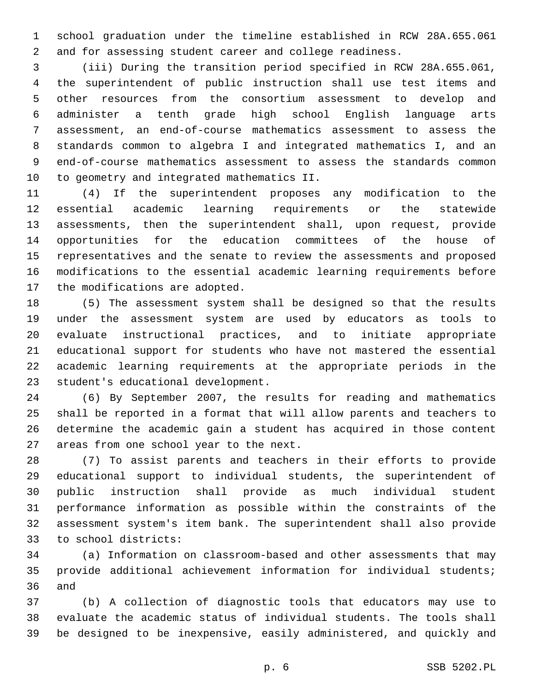school graduation under the timeline established in RCW 28A.655.061 and for assessing student career and college readiness.

 (iii) During the transition period specified in RCW 28A.655.061, the superintendent of public instruction shall use test items and other resources from the consortium assessment to develop and administer a tenth grade high school English language arts assessment, an end-of-course mathematics assessment to assess the standards common to algebra I and integrated mathematics I, and an end-of-course mathematics assessment to assess the standards common 10 to geometry and integrated mathematics II.

 (4) If the superintendent proposes any modification to the essential academic learning requirements or the statewide assessments, then the superintendent shall, upon request, provide opportunities for the education committees of the house of representatives and the senate to review the assessments and proposed modifications to the essential academic learning requirements before 17 the modifications are adopted.

 (5) The assessment system shall be designed so that the results under the assessment system are used by educators as tools to evaluate instructional practices, and to initiate appropriate educational support for students who have not mastered the essential academic learning requirements at the appropriate periods in the 23 student's educational development.

 (6) By September 2007, the results for reading and mathematics shall be reported in a format that will allow parents and teachers to determine the academic gain a student has acquired in those content 27 areas from one school year to the next.

 (7) To assist parents and teachers in their efforts to provide educational support to individual students, the superintendent of public instruction shall provide as much individual student performance information as possible within the constraints of the assessment system's item bank. The superintendent shall also provide to school districts:33

 (a) Information on classroom-based and other assessments that may provide additional achievement information for individual students; 36 and

 (b) A collection of diagnostic tools that educators may use to evaluate the academic status of individual students. The tools shall be designed to be inexpensive, easily administered, and quickly and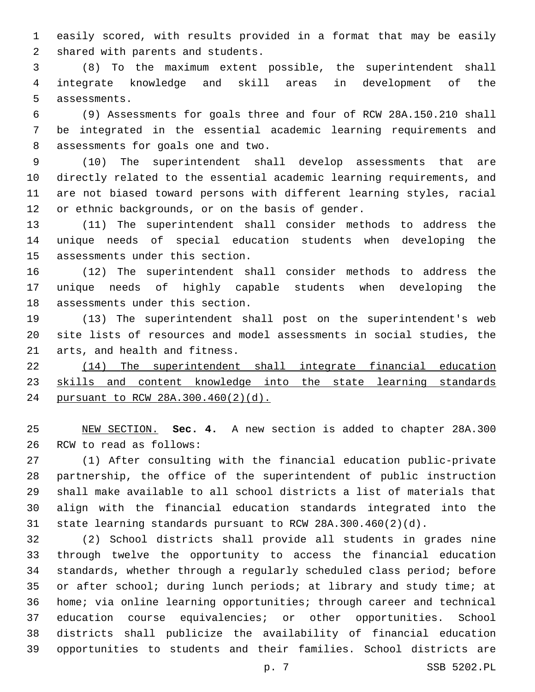easily scored, with results provided in a format that may be easily 2 shared with parents and students.

 (8) To the maximum extent possible, the superintendent shall integrate knowledge and skill areas in development of the 5 assessments.

 (9) Assessments for goals three and four of RCW 28A.150.210 shall be integrated in the essential academic learning requirements and 8 assessments for goals one and two.

 (10) The superintendent shall develop assessments that are directly related to the essential academic learning requirements, and are not biased toward persons with different learning styles, racial 12 or ethnic backgrounds, or on the basis of gender.

 (11) The superintendent shall consider methods to address the unique needs of special education students when developing the 15 assessments under this section.

 (12) The superintendent shall consider methods to address the unique needs of highly capable students when developing the 18 assessments under this section.

 (13) The superintendent shall post on the superintendent's web site lists of resources and model assessments in social studies, the 21 arts, and health and fitness.

 (14) The superintendent shall integrate financial education 23 skills and content knowledge into the state learning standards pursuant to RCW 28A.300.460(2)(d).

 NEW SECTION. **Sec. 4.** A new section is added to chapter 28A.300 26 RCW to read as follows:

 (1) After consulting with the financial education public-private partnership, the office of the superintendent of public instruction shall make available to all school districts a list of materials that align with the financial education standards integrated into the state learning standards pursuant to RCW 28A.300.460(2)(d).

 (2) School districts shall provide all students in grades nine through twelve the opportunity to access the financial education standards, whether through a regularly scheduled class period; before or after school; during lunch periods; at library and study time; at home; via online learning opportunities; through career and technical education course equivalencies; or other opportunities. School districts shall publicize the availability of financial education opportunities to students and their families. School districts are

p. 7 SSB 5202.PL